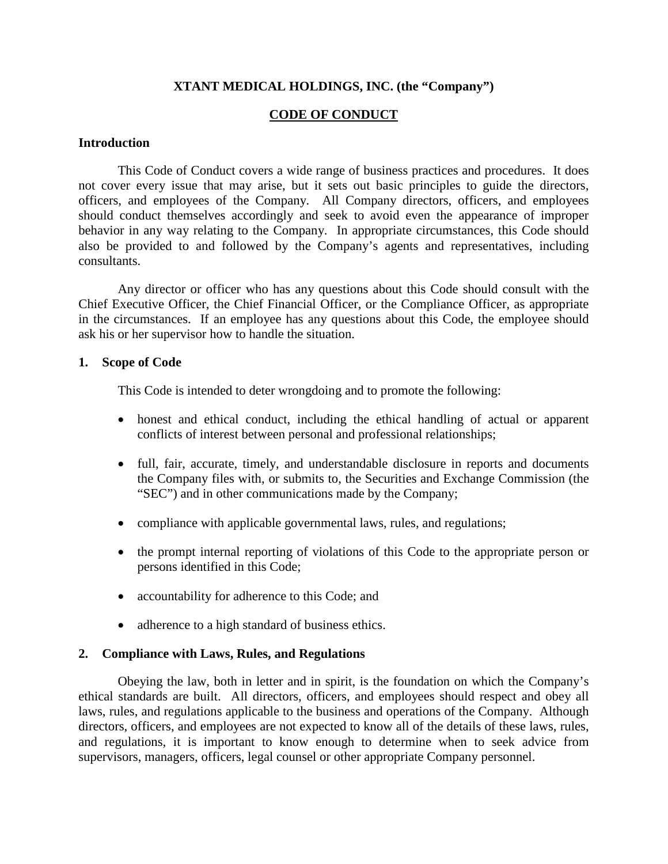# **XTANT MEDICAL HOLDINGS, INC. (the "Company")**

# **CODE OF CONDUCT**

#### **Introduction**

This Code of Conduct covers a wide range of business practices and procedures. It does not cover every issue that may arise, but it sets out basic principles to guide the directors, officers, and employees of the Company. All Company directors, officers, and employees should conduct themselves accordingly and seek to avoid even the appearance of improper behavior in any way relating to the Company. In appropriate circumstances, this Code should also be provided to and followed by the Company's agents and representatives, including consultants.

Any director or officer who has any questions about this Code should consult with the Chief Executive Officer, the Chief Financial Officer, or the Compliance Officer, as appropriate in the circumstances. If an employee has any questions about this Code, the employee should ask his or her supervisor how to handle the situation.

#### **1. Scope of Code**

This Code is intended to deter wrongdoing and to promote the following:

- honest and ethical conduct, including the ethical handling of actual or apparent conflicts of interest between personal and professional relationships;
- full, fair, accurate, timely, and understandable disclosure in reports and documents the Company files with, or submits to, the Securities and Exchange Commission (the "SEC") and in other communications made by the Company;
- compliance with applicable governmental laws, rules, and regulations;
- the prompt internal reporting of violations of this Code to the appropriate person or persons identified in this Code;
- accountability for adherence to this Code; and
- adherence to a high standard of business ethics.

#### **2. Compliance with Laws, Rules, and Regulations**

Obeying the law, both in letter and in spirit, is the foundation on which the Company's ethical standards are built. All directors, officers, and employees should respect and obey all laws, rules, and regulations applicable to the business and operations of the Company. Although directors, officers, and employees are not expected to know all of the details of these laws, rules, and regulations, it is important to know enough to determine when to seek advice from supervisors, managers, officers, legal counsel or other appropriate Company personnel.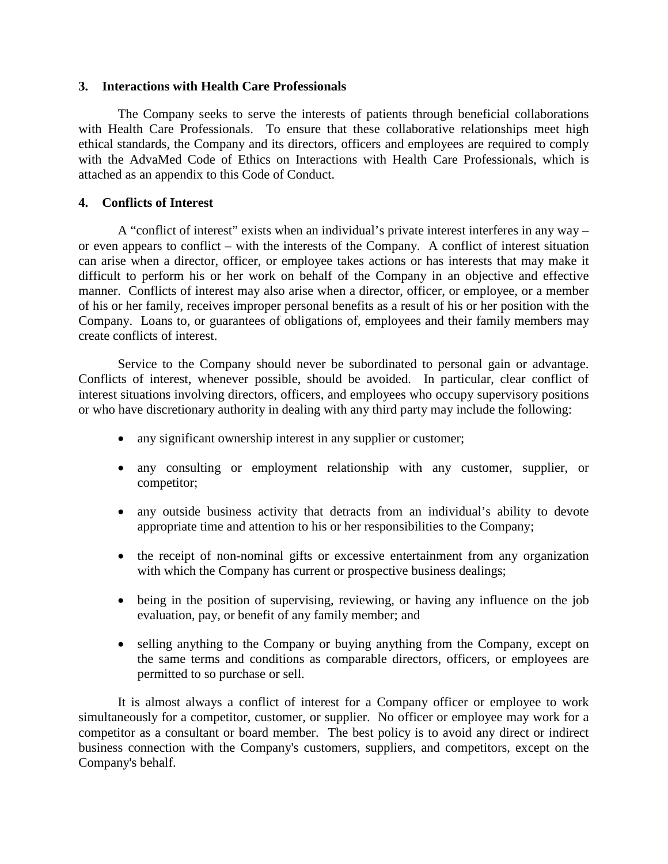## **3. Interactions with Health Care Professionals**

The Company seeks to serve the interests of patients through beneficial collaborations with Health Care Professionals. To ensure that these collaborative relationships meet high ethical standards, the Company and its directors, officers and employees are required to comply with the AdvaMed Code of Ethics on Interactions with Health Care Professionals, which is attached as an appendix to this Code of Conduct.

## **4. Conflicts of Interest**

A "conflict of interest" exists when an individual's private interest interferes in any way – or even appears to conflict – with the interests of the Company. A conflict of interest situation can arise when a director, officer, or employee takes actions or has interests that may make it difficult to perform his or her work on behalf of the Company in an objective and effective manner. Conflicts of interest may also arise when a director, officer, or employee, or a member of his or her family, receives improper personal benefits as a result of his or her position with the Company. Loans to, or guarantees of obligations of, employees and their family members may create conflicts of interest.

Service to the Company should never be subordinated to personal gain or advantage. Conflicts of interest, whenever possible, should be avoided. In particular, clear conflict of interest situations involving directors, officers, and employees who occupy supervisory positions or who have discretionary authority in dealing with any third party may include the following:

- any significant ownership interest in any supplier or customer;
- any consulting or employment relationship with any customer, supplier, or competitor;
- any outside business activity that detracts from an individual's ability to devote appropriate time and attention to his or her responsibilities to the Company;
- the receipt of non-nominal gifts or excessive entertainment from any organization with which the Company has current or prospective business dealings;
- being in the position of supervising, reviewing, or having any influence on the job evaluation, pay, or benefit of any family member; and
- selling anything to the Company or buying anything from the Company, except on the same terms and conditions as comparable directors, officers, or employees are permitted to so purchase or sell.

It is almost always a conflict of interest for a Company officer or employee to work simultaneously for a competitor, customer, or supplier. No officer or employee may work for a competitor as a consultant or board member. The best policy is to avoid any direct or indirect business connection with the Company's customers, suppliers, and competitors, except on the Company's behalf.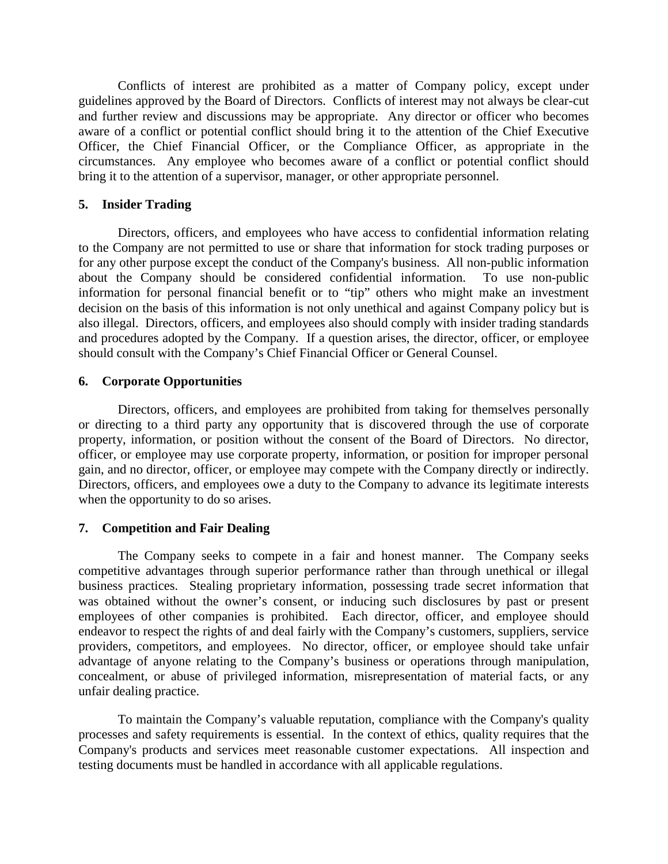Conflicts of interest are prohibited as a matter of Company policy, except under guidelines approved by the Board of Directors. Conflicts of interest may not always be clear-cut and further review and discussions may be appropriate. Any director or officer who becomes aware of a conflict or potential conflict should bring it to the attention of the Chief Executive Officer, the Chief Financial Officer, or the Compliance Officer, as appropriate in the circumstances. Any employee who becomes aware of a conflict or potential conflict should bring it to the attention of a supervisor, manager, or other appropriate personnel.

## **5. Insider Trading**

Directors, officers, and employees who have access to confidential information relating to the Company are not permitted to use or share that information for stock trading purposes or for any other purpose except the conduct of the Company's business. All non-public information about the Company should be considered confidential information. To use non-public information for personal financial benefit or to "tip" others who might make an investment decision on the basis of this information is not only unethical and against Company policy but is also illegal. Directors, officers, and employees also should comply with insider trading standards and procedures adopted by the Company. If a question arises, the director, officer, or employee should consult with the Company's Chief Financial Officer or General Counsel.

## **6. Corporate Opportunities**

Directors, officers, and employees are prohibited from taking for themselves personally or directing to a third party any opportunity that is discovered through the use of corporate property, information, or position without the consent of the Board of Directors. No director, officer, or employee may use corporate property, information, or position for improper personal gain, and no director, officer, or employee may compete with the Company directly or indirectly. Directors, officers, and employees owe a duty to the Company to advance its legitimate interests when the opportunity to do so arises.

## **7. Competition and Fair Dealing**

The Company seeks to compete in a fair and honest manner. The Company seeks competitive advantages through superior performance rather than through unethical or illegal business practices. Stealing proprietary information, possessing trade secret information that was obtained without the owner's consent, or inducing such disclosures by past or present employees of other companies is prohibited. Each director, officer, and employee should endeavor to respect the rights of and deal fairly with the Company's customers, suppliers, service providers, competitors, and employees. No director, officer, or employee should take unfair advantage of anyone relating to the Company's business or operations through manipulation, concealment, or abuse of privileged information, misrepresentation of material facts, or any unfair dealing practice.

To maintain the Company's valuable reputation, compliance with the Company's quality processes and safety requirements is essential. In the context of ethics, quality requires that the Company's products and services meet reasonable customer expectations. All inspection and testing documents must be handled in accordance with all applicable regulations.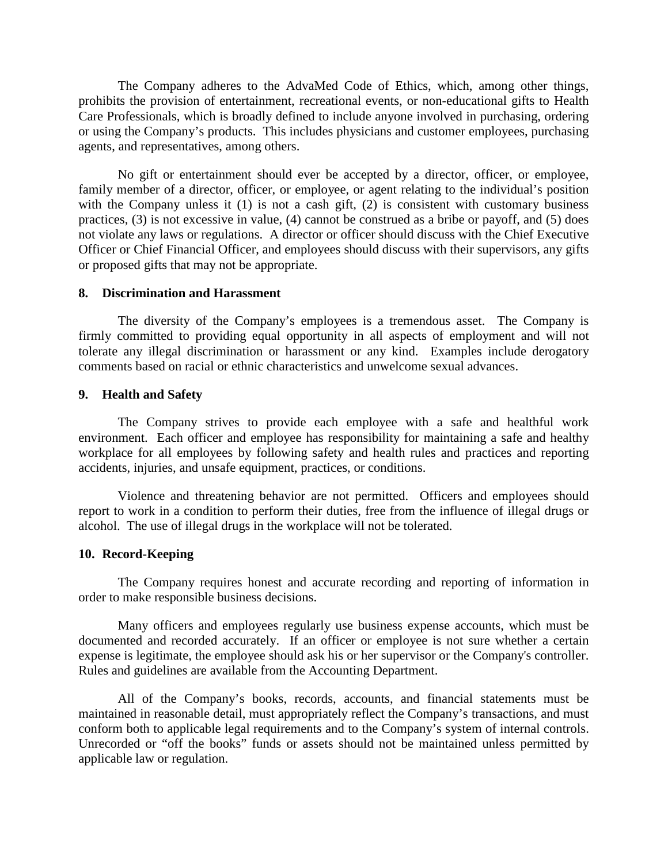The Company adheres to the AdvaMed Code of Ethics, which, among other things, prohibits the provision of entertainment, recreational events, or non-educational gifts to Health Care Professionals, which is broadly defined to include anyone involved in purchasing, ordering or using the Company's products. This includes physicians and customer employees, purchasing agents, and representatives, among others.

No gift or entertainment should ever be accepted by a director, officer, or employee, family member of a director, officer, or employee, or agent relating to the individual's position with the Company unless it (1) is not a cash gift, (2) is consistent with customary business practices, (3) is not excessive in value, (4) cannot be construed as a bribe or payoff, and (5) does not violate any laws or regulations. A director or officer should discuss with the Chief Executive Officer or Chief Financial Officer, and employees should discuss with their supervisors, any gifts or proposed gifts that may not be appropriate.

#### **8. Discrimination and Harassment**

The diversity of the Company's employees is a tremendous asset. The Company is firmly committed to providing equal opportunity in all aspects of employment and will not tolerate any illegal discrimination or harassment or any kind. Examples include derogatory comments based on racial or ethnic characteristics and unwelcome sexual advances.

#### **9. Health and Safety**

The Company strives to provide each employee with a safe and healthful work environment. Each officer and employee has responsibility for maintaining a safe and healthy workplace for all employees by following safety and health rules and practices and reporting accidents, injuries, and unsafe equipment, practices, or conditions.

Violence and threatening behavior are not permitted. Officers and employees should report to work in a condition to perform their duties, free from the influence of illegal drugs or alcohol. The use of illegal drugs in the workplace will not be tolerated.

#### **10. Record-Keeping**

The Company requires honest and accurate recording and reporting of information in order to make responsible business decisions.

Many officers and employees regularly use business expense accounts, which must be documented and recorded accurately. If an officer or employee is not sure whether a certain expense is legitimate, the employee should ask his or her supervisor or the Company's controller. Rules and guidelines are available from the Accounting Department.

All of the Company's books, records, accounts, and financial statements must be maintained in reasonable detail, must appropriately reflect the Company's transactions, and must conform both to applicable legal requirements and to the Company's system of internal controls. Unrecorded or "off the books" funds or assets should not be maintained unless permitted by applicable law or regulation.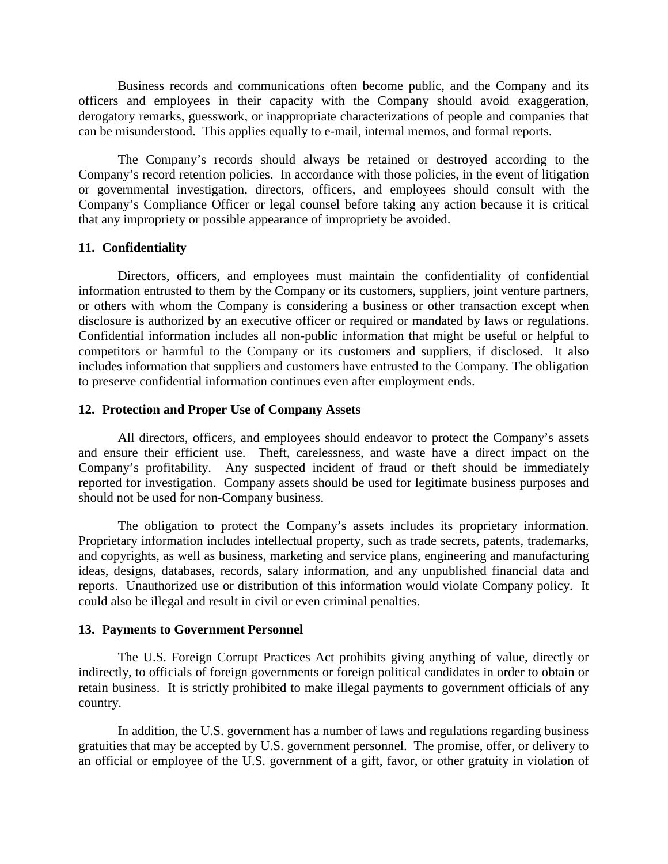Business records and communications often become public, and the Company and its officers and employees in their capacity with the Company should avoid exaggeration, derogatory remarks, guesswork, or inappropriate characterizations of people and companies that can be misunderstood. This applies equally to e-mail, internal memos, and formal reports.

The Company's records should always be retained or destroyed according to the Company's record retention policies. In accordance with those policies, in the event of litigation or governmental investigation, directors, officers, and employees should consult with the Company's Compliance Officer or legal counsel before taking any action because it is critical that any impropriety or possible appearance of impropriety be avoided.

#### **11. Confidentiality**

Directors, officers, and employees must maintain the confidentiality of confidential information entrusted to them by the Company or its customers, suppliers, joint venture partners, or others with whom the Company is considering a business or other transaction except when disclosure is authorized by an executive officer or required or mandated by laws or regulations. Confidential information includes all non-public information that might be useful or helpful to competitors or harmful to the Company or its customers and suppliers, if disclosed. It also includes information that suppliers and customers have entrusted to the Company. The obligation to preserve confidential information continues even after employment ends.

#### **12. Protection and Proper Use of Company Assets**

All directors, officers, and employees should endeavor to protect the Company's assets and ensure their efficient use. Theft, carelessness, and waste have a direct impact on the Company's profitability. Any suspected incident of fraud or theft should be immediately reported for investigation. Company assets should be used for legitimate business purposes and should not be used for non-Company business.

The obligation to protect the Company's assets includes its proprietary information. Proprietary information includes intellectual property, such as trade secrets, patents, trademarks, and copyrights, as well as business, marketing and service plans, engineering and manufacturing ideas, designs, databases, records, salary information, and any unpublished financial data and reports. Unauthorized use or distribution of this information would violate Company policy. It could also be illegal and result in civil or even criminal penalties.

#### **13. Payments to Government Personnel**

The U.S. Foreign Corrupt Practices Act prohibits giving anything of value, directly or indirectly, to officials of foreign governments or foreign political candidates in order to obtain or retain business. It is strictly prohibited to make illegal payments to government officials of any country.

In addition, the U.S. government has a number of laws and regulations regarding business gratuities that may be accepted by U.S. government personnel. The promise, offer, or delivery to an official or employee of the U.S. government of a gift, favor, or other gratuity in violation of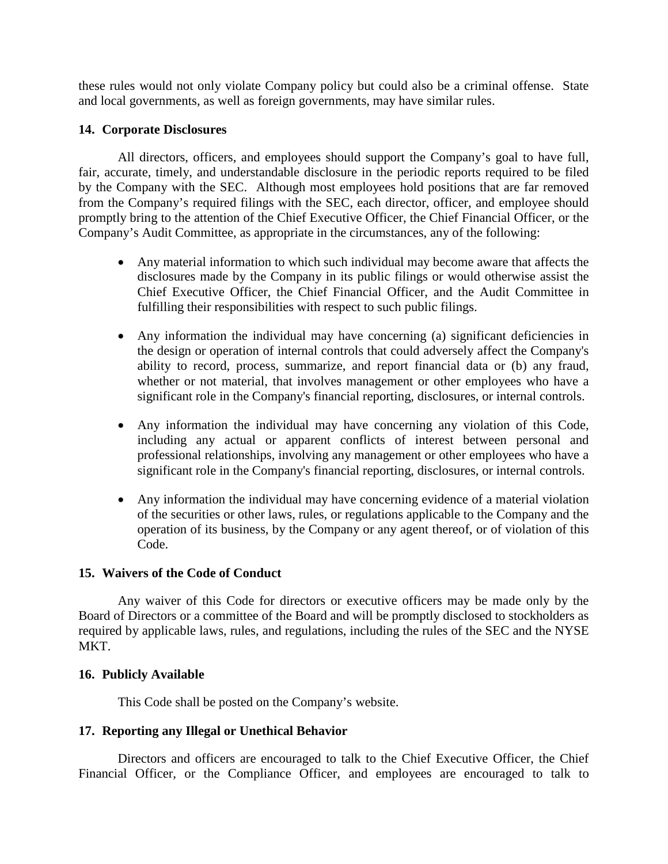these rules would not only violate Company policy but could also be a criminal offense. State and local governments, as well as foreign governments, may have similar rules.

## **14. Corporate Disclosures**

All directors, officers, and employees should support the Company's goal to have full, fair, accurate, timely, and understandable disclosure in the periodic reports required to be filed by the Company with the SEC. Although most employees hold positions that are far removed from the Company's required filings with the SEC, each director, officer, and employee should promptly bring to the attention of the Chief Executive Officer, the Chief Financial Officer, or the Company's Audit Committee, as appropriate in the circumstances, any of the following:

- Any material information to which such individual may become aware that affects the disclosures made by the Company in its public filings or would otherwise assist the Chief Executive Officer, the Chief Financial Officer, and the Audit Committee in fulfilling their responsibilities with respect to such public filings.
- Any information the individual may have concerning (a) significant deficiencies in the design or operation of internal controls that could adversely affect the Company's ability to record, process, summarize, and report financial data or (b) any fraud, whether or not material, that involves management or other employees who have a significant role in the Company's financial reporting, disclosures, or internal controls.
- Any information the individual may have concerning any violation of this Code, including any actual or apparent conflicts of interest between personal and professional relationships, involving any management or other employees who have a significant role in the Company's financial reporting, disclosures, or internal controls.
- Any information the individual may have concerning evidence of a material violation of the securities or other laws, rules, or regulations applicable to the Company and the operation of its business, by the Company or any agent thereof, or of violation of this Code.

## **15. Waivers of the Code of Conduct**

Any waiver of this Code for directors or executive officers may be made only by the Board of Directors or a committee of the Board and will be promptly disclosed to stockholders as required by applicable laws, rules, and regulations, including the rules of the SEC and the NYSE MKT.

## **16. Publicly Available**

This Code shall be posted on the Company's website.

## **17. Reporting any Illegal or Unethical Behavior**

Directors and officers are encouraged to talk to the Chief Executive Officer, the Chief Financial Officer, or the Compliance Officer, and employees are encouraged to talk to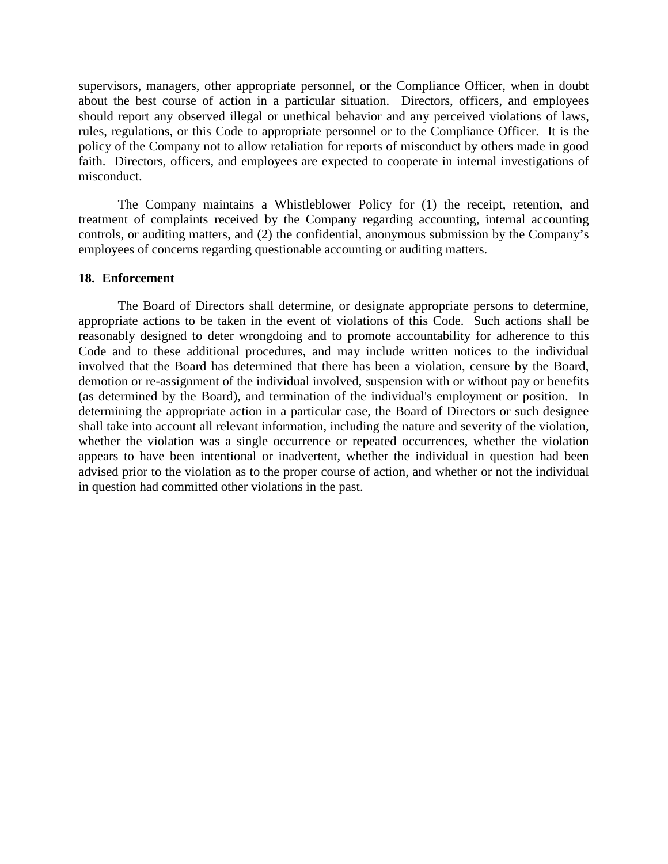supervisors, managers, other appropriate personnel, or the Compliance Officer, when in doubt about the best course of action in a particular situation. Directors, officers, and employees should report any observed illegal or unethical behavior and any perceived violations of laws, rules, regulations, or this Code to appropriate personnel or to the Compliance Officer. It is the policy of the Company not to allow retaliation for reports of misconduct by others made in good faith. Directors, officers, and employees are expected to cooperate in internal investigations of misconduct.

The Company maintains a Whistleblower Policy for (1) the receipt, retention, and treatment of complaints received by the Company regarding accounting, internal accounting controls, or auditing matters, and (2) the confidential, anonymous submission by the Company's employees of concerns regarding questionable accounting or auditing matters.

#### **18. Enforcement**

The Board of Directors shall determine, or designate appropriate persons to determine, appropriate actions to be taken in the event of violations of this Code. Such actions shall be reasonably designed to deter wrongdoing and to promote accountability for adherence to this Code and to these additional procedures, and may include written notices to the individual involved that the Board has determined that there has been a violation, censure by the Board, demotion or re-assignment of the individual involved, suspension with or without pay or benefits (as determined by the Board), and termination of the individual's employment or position. In determining the appropriate action in a particular case, the Board of Directors or such designee shall take into account all relevant information, including the nature and severity of the violation, whether the violation was a single occurrence or repeated occurrences, whether the violation appears to have been intentional or inadvertent, whether the individual in question had been advised prior to the violation as to the proper course of action, and whether or not the individual in question had committed other violations in the past.